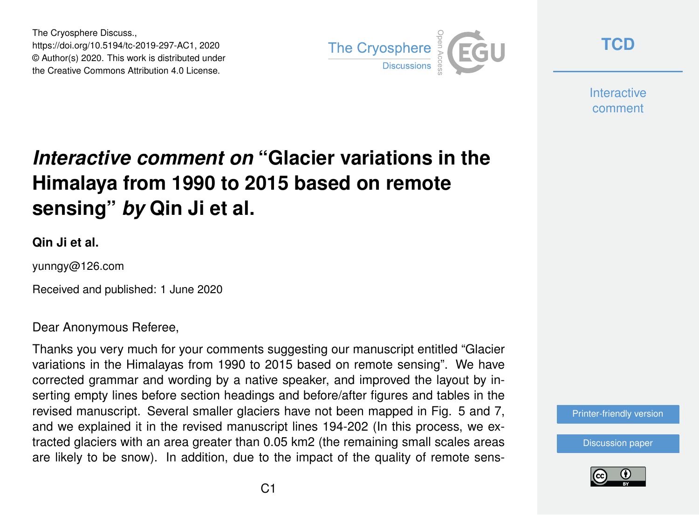The Cryosphere Discuss., https://doi.org/10.5194/tc-2019-297-AC1, 2020 © Author(s) 2020. This work is distributed under the Creative Commons Attribution 4.0 License.



**[TCD](https://www.the-cryosphere-discuss.net/)**

**Interactive** comment

## *Interactive comment on* **"Glacier variations in the Himalaya from 1990 to 2015 based on remote sensing"** *by* **Qin Ji et al.**

## **Qin Ji et al.**

yunngy@126.com

Received and published: 1 June 2020

## Dear Anonymous Referee,

Thanks you very much for your comments suggesting our manuscript entitled "Glacier variations in the Himalayas from 1990 to 2015 based on remote sensing". We have corrected grammar and wording by a native speaker, and improved the layout by inserting empty lines before section headings and before/after figures and tables in the revised manuscript. Several smaller glaciers have not been mapped in Fig. 5 and 7, and we explained it in the revised manuscript lines 194-202 (In this process, we extracted glaciers with an area greater than 0.05 km2 (the remaining small scales areas are likely to be snow). In addition, due to the impact of the quality of remote sens-

[Printer-friendly version](https://www.the-cryosphere-discuss.net/tc-2019-297/tc-2019-297-AC1-print.pdf)

[Discussion paper](https://www.the-cryosphere-discuss.net/tc-2019-297)